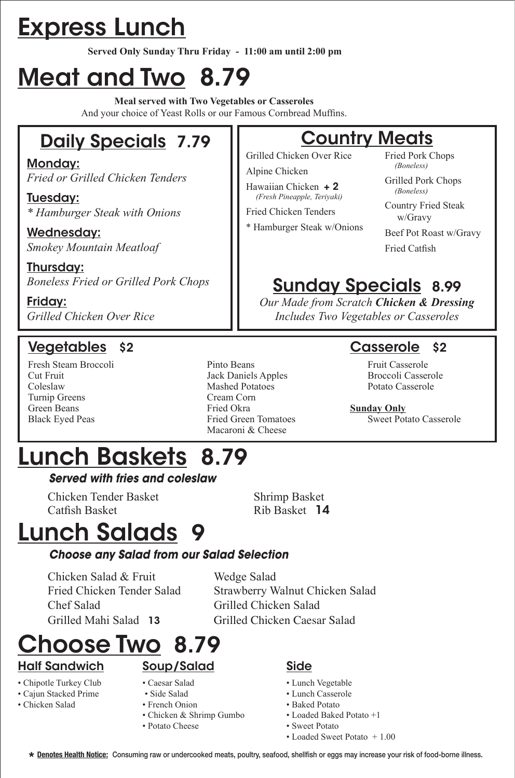# Express Lunch

**Served Only Sunday Thru Friday - 11:00 am until 2:00 pm**

# Meat and Two 8.79

**Meal served with Two Vegetables or Casseroles** And your choice of Yeast Rolls or our Famous Cornbread Muffins.

## Daily Specials 7.79

Monday: *Fried or Grilled Chicken Tenders*

Tuesday: *\* Hamburger Steak with Onions*

Wednesday: *Smokey Mountain Meatloaf*

Thursday: *Boneless Fried or Grilled Pork Chops*

Friday: *Grilled Chicken Over Rice* 

### Vegetables \$2 Casserole \$2

- Turnip Greens Cream Corn
- Fresh Steam Broccoli Pinto Beans Fruit Casserole Cut Fruit Jack Daniels Apples Broccoli Casserole Coleslaw Mashed Potatoes Potato Casserole Green Beans **Fried Okra Sunday Only**<br> **Black Eyed Peas Fried Green Tomatoes** Sweet Pot Macaroni & Cheese

### **Country Meats**

Grilled Chicken Over Rice Alpine Chicken

Hawaiian Chicken + 2

 *(Fresh Pineapple, Teriyaki)* Fried Chicken Tenders

\* Hamburger Steak w/Onions

Fried Pork Chops  *(Boneless)*

Grilled Pork Chops  *(Boneless)*

Country Fried Steak w/Gravy

Beef Pot Roast w/Gravy Fried Catfish

## Sunday Specials 8.99

*Our Made from Scratch Chicken & Dressing Includes Two Vegetables or Casseroles*

Sweet Potato Casserole

# Lunch Baskets 8.79

#### *Served with fries and coleslaw*

 Chicken Tender Basket Shrimp Basket Catfish Basket **Rib Basket 14** 

# Lunch Salads 9

#### *Choose any Salad from our Salad Selection*

Chicken Salad & Fruit Wedge Salad Chef Salad Grilled Chicken Salad

 Fried Chicken Tender Salad Strawberry Walnut Chicken Salad Grilled Mahi Salad 13 Grilled Chicken Caesar Salad

# hoose Two 8.79

#### Half Sandwich

- Chipotle Turkey Club
- Cajun Stacked Prime
- Chicken Salad
- Caesar Salad

Soup/Salad

- Side Salad
- French Onion
- Chicken & Shrimp Gumbo
- Potato Cheese

#### Side

- Lunch Vegetable
- Lunch Casserole
- Baked Potato
- Loaded Baked Potato +1 • Sweet Potato
- Loaded Sweet Potato + 1.00
- **Denotes Health Notice:** Consuming raw or undercooked meats, poultry, seafood, shellfish or eggs may increase your risk of food-borne illness. **\***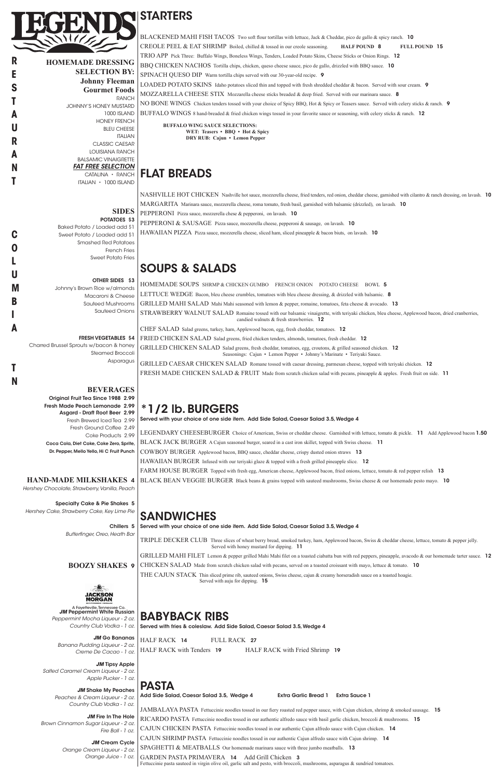**HOMEMADE DRESSING SELECTION BY: Johnny Fleeman Gourmet Foods RANCH** JOHNNY'S HONEY MUSTARD 1000 ISLAND HONEY FRENCH BLEU CHEESE ITALIAN CLASSIC CAESAR LOUISIANA RANCH BALSAMIC VINAIGRETTE *FAT FREE SELECTION* CATALINA • RANCH ITALIAN • 1000 ISLAND

> **SIDES** POTATOES \$3

Steamed Broccoli **Asparagus** 

Baked Potato / Loaded add \$1 Sweet Potato / Loaded add \$1 Smashed Red Potatoes French Fries Sweet Potato Fries

OTHER SIDES \$3 Johnny's Brown Rice w/almonds Macaroni & Cheese Sauteed Mushrooms Sauteed Onions

FRESH VEGETABLES \$4 Charred Brussel Sprouts w/bacon & honey

#### **BEVERAGES**

Original Fruit Tea Since 1988 2.99 Fresh Made Peach Lemonade 2.99 Asgard - Draft Root Beer 2.99 Fresh Brewed Iced Tea 2.99 Fresh Ground Coffee 2.49 Coke Products 2.99 Coca Cola, Diet Coke, Coke Zero, Sprite, Dr. Pepper, Mello Yello, Hi C Fruit Punch

#### **HAND-MADE MILKSHAKES** 4

*Hershey Chocolate, Strawberry, Vanilla, Peach*

Specialty Cake & Pie Shakes 5 *Hershey Cake, Strawberry Cake, Key Lime Pie*

> Chillers 5 *Butterfinger, Oreo, Heath Bar*

**STARTERS** 

BLACKENED MAHI FISH TACOS Two soft flour tortillas with lettuce, Jack & Cheddar, pico de gallo & spicy ranch. 10 CREOLE PEEL & EAT SHRIMP Boiled, chilled & tossed in our creole seasoning. **HALF POUND** 8 **FULL POUND** 15 TRIO APP Pick Three: Buffalo Wings, Boneless Wings, Tenders, Loaded Potato Skins, Cheese Sticks or Onion Rings. 12 BBQ CHICKEN NACHOS Tortilla chips, chicken, queso cheese sauce, pico de gallo, drizzled with BBQ sauce. 10 SPINACH QUESO DIP Warm tortilla chips served with our 30-year-old recipe. 9 LOADED POTATO SKINS Idaho potatoes sliced thin and topped with fresh shredded cheddar & bacon. Served with sour cream. 9 MOZZARELLA CHEESE STIX Mozzarella cheese sticks breaded & deep fried. Served with our marinara sauce. 8 NO BONE WINGS Chicken tenders tossed with your choice of Spicy BBQ, Hot & Spicy or Teasers sauce. Served with celery sticks & ranch. 9 BUFFALO WINGS 8 hand-breaded & fried chicken wings tossed in your favorite sauce or seasoning, with celery sticks & ranch. 12



**R**

**E S**

**T**

**A U**

**R**

**A**

**N**

**T**

**C**

**O**

**L**

**U**

**M**

**B**

**I**

**A**

**T**

**N**

PEPPERONI & SAUSAGE Pizza sauce, mozzerella cheese, pepperoni & sausage, on lavash. 10 HAWAIIAN PIZZA Pizza sauce, mozzerella cheese, sliced ham, sliced pineapple & bacon biuts, on lavash. 10

GRILLED CHICKEN SALAD Salad greens, fresh cheddar, tomatoes, egg, croutons, & grilled seasoned chicken. 12 Seasonings: Cajun • Lemon Pepper • Johnny's Marinate • Teriyaki Sauce.

GRILLED CAESAR CHICKEN SALAD Romane tossed with caesar dressing, parmesan cheese, topped with teriyaki chicken. 12 FRESH MADE CHICKEN SALAD & FRUIT Made from scratch chicken salad with pecans, pineapple & apples. Fresh fruit on side. 11

**BUFFALO WING SAUCE SELECTIONS: WET: Teasers • BBQ • Hot & Spicy DRY RUB: Cajun • Lemon Pepper**

# FLAT BREADS

NASHVILLE HOT CHICKEN Nashville hot sauce, mozzerella cheese, fried tenders, red onion, cheddar cheese, garnished with cilantro & ranch dressing, on lavash. 10 MARGARITA Marinara sauce, mozzerella cheese, roma tomato, fresh basil, garnished with balsamic (drizzled), on lavash. 10 PEPPERONI Pizza sauce, mozzerella chese & pepperoni, on lavash. 10

## SOUPS & SALADS

HOMEMADE SOUPS SHRMP & CHICKEN GUMBO FRENCH ONION POTATO CHEESE BOWL 5 LETTUCE WEDGE Bacon, bleu cheese crumbles, tomatoes with bleu cheese dressing, & drizzled with balsamic. 8 GRILLED MAHI SALAD Mahi Mahi seasoned with lemon & pepper, romaine, tomatoes, feta cheese & avocado. 13 STRAWBERRY WALNUT SALAD Romaine tossed with our balsamic vinaigrette, with teriyaki chicken, bleu cheese, Applewood bacon, dried cranberries, candied walnuts  $&$  fresh strawberries. 12

**BOOZY SHAKES** 9 GRILLED MAHI FILET Lemon & pepper grilled Mahi Mahi filet on a toasted ciabatta bun with red peppers, pineapple, avacodo & our homemade tarter sauce. 12 CHICKEN SALAD Made from scratch chicken salad with pecans, served on a toasted croissant with mayo, lettuce & tomato. 10

CHEF SALAD Salad greens, turkey, ham, Applewood bacon, egg, fresh cheddar, tomatoes. 12

FRIED CHICKEN SALAD Salad greens, fried chicken tenders, almonds, tomatoes, fresh cheddar. 12

|                                                                                  | THE CAJUN STACK Thin sliced prime rib, sauteed onions, Swiss cheese, cajun & creamy horseradish sauce on a toasted hoagie.<br>Served with auju for dipping. 15                            |
|----------------------------------------------------------------------------------|-------------------------------------------------------------------------------------------------------------------------------------------------------------------------------------------|
| JACKSON                                                                          |                                                                                                                                                                                           |
| ORGAN                                                                            |                                                                                                                                                                                           |
| A Fayetteville, Tennessee Co.<br><b>JM Peppermint White Russian</b>              |                                                                                                                                                                                           |
| Peppermint Mocha Liqueur - 2 oz.                                                 | <b>BABYBACK RIBS</b>                                                                                                                                                                      |
| Country Club Vodka - 1 oz.                                                       | Served with fries & coleslaw. Add Side Salad, Caesar Salad 3.5, Wedge 4                                                                                                                   |
| <b>JM</b> Go Bananas<br>Banana Pudding Liqueur - 2 oz.<br>Creme De Cacao - 1 oz. | HALF RACK 14<br>FULL RACK 27<br>HALF RACK with Tenders 19<br>HALF RACK with Fried Shrimp 19                                                                                               |
| <b>JM Tipsy Apple</b>                                                            |                                                                                                                                                                                           |
| Salted Caramel Cream Liqueur - 2 oz.                                             |                                                                                                                                                                                           |
| Apple Pucker - 1 oz.                                                             |                                                                                                                                                                                           |
|                                                                                  | <b>PASTA</b>                                                                                                                                                                              |
| <b>JM</b> Shake My Peaches                                                       | Add Side Salad, Caesar Salad 3.5, Wedge 4<br><b>Extra Garlic Bread 1</b><br>Extra Sauce 1                                                                                                 |
| Peaches & Cream Liqueur - 2 oz.                                                  |                                                                                                                                                                                           |
| Country Club Vodka - 1 oz.                                                       | JAMBALAYA PASTA Fettuccinie noodles tossed in our fiery roasted red pepper sauce, with Cajun chicken, shrimp & smoked sausage. 15                                                         |
| <b>JM Fire In The Hole</b><br>Brown Cinnamon Sugar Liqueur - 2 oz.               | RICARDO PASTA Fettuccinie noodles tossed in our authentic alfredo sauce with basil garlic chicken, broccoli & mushrooms. 15                                                               |
| Fire Ball - 1 oz.                                                                | CAJUN CHICKEN PASTA Fettuccinie noodles tossed in our authentic Cajun alfredo sauce with Cajun chicken. 14                                                                                |
| <b>JM Cream Cycle</b>                                                            | CAJUN SHRIMP PASTA Fettuccinie noodles tossed in our authentic Cajun alfredo sauce with Cajun shrimp. 14                                                                                  |
| Orange Cream Liqueur - 2 oz.                                                     | SPAGHETTI & MEATBALLS Our homemade marinara sauce with three jumbo meatballs. 13                                                                                                          |
| Orange Juice - 1 oz.                                                             | <b>GARDEN PASTA PRIMAVERA 14</b><br>Add Grill Chicken 3<br>Fettuccinie pasta sauteed in virgin olive oil, garlic salt and pesto, with broccoli, mushrooms, asparagus & sundried tomatoes. |

## \*1/2 lb. BURGERS

Served with your choice of one side item. Add Side Salad, Caesar Salad 3.5, Wedge 4

LEGENDARY CHEESEBURGER Choice of American, Swiss or cheddar cheese. Garnished with lettuce, tomato & pickle. 11 Add Applewood bacon 1.50 BLACK JACK BURGER A Cajun seasoned burger, seared in a cast iron skillet, topped with Swiss cheese. 11 COWBOY BURGER Applewood bacon, BBQ sauce, cheddar cheese, crispy dusted onion straws 13 HAWAIIAN BURGER Infused with our teriyaki glaze & topped with a fresh grilled pineapple slice. 12 FARM HOUSE BURGER Topped with fresh egg, American cheese, Applewood bacon, fried onions, lettuce, tomato & red pepper relish 13 BLACK BEAN VEGGIE BURGER Black beans & grains topped with sauteed mushrooms, Swiss cheese & our homemade pesto mayo. 10

# SANDWICHES

Served with your choice of one side item. Add Side Salad, Caesar Salad 3.5, Wedge 4

TRIPLE DECKER CLUB Three slices of wheat berry bread, smoked turkey, ham, Applewood bacon, Swiss & cheddar cheese, lettuce, tomato & pepper jelly. Served with honey mustard for dipping. 11